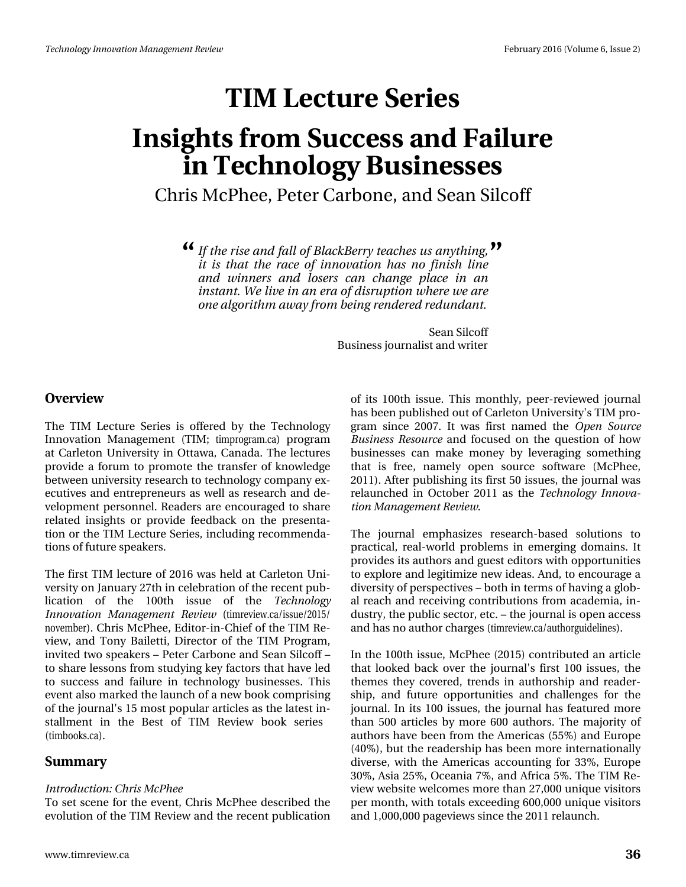# $W P f^*$  is the  $W$

# Lqvlj kw#urp #Vxffhvv#dqg#dloxuh lq#Whfkgrorj | #Exvlghwhv Fkuv#PfSkhh/#Shvhu#Fduerqh/#dqg#Vhdq#Vlofrii

( Li#wkh#ulvh#dqg#doc#i#EodfnEhuu|#whdfkhw#xw#dq|wklqi/#TMI Iw# v#wkdw#wkh#udfh#ri#lqqrydwlrq#kdv#qr#ilqlvk#dqh# dgg#z lgghw#dgg#o vhw#fdg#fkdgjh#sodfh#lg#dg# lqwdgw#Zh#Jyh#q#Jq#hud#i#glw.xswlrq#zkhuh#zh#Juh# rqh#dojrulwkp#dzd|#urp#ehlqj#uhqghuhg#uhgxqgdqwl

> Vhdq#Mofrii Exvlqhvv#nxuqddvv#dqg#zulvhu

#### Ryhuylhz

With the HChi with the Whulhv#Iv#riihung#el #with the White Kigroril Lagrydwr g#P dgdj hp hgw#+WLP #wp surjudp fd,#surjudp # dw#Fdudhwrq#Xqlyhuvlw|#lq#Rwndzd/#Fdqdgd1#AWkh#dhfwxuhv# surylgh#d#iruxp#wr#surprwh#wkh#wudqvihu#ri#ngrzohgjh# ehwzhhq#xqlyhuvlw|#uhvhdufk#wr#whfkqrorj|#frpsdq|#h{0 hf x wyhv#dqg#hqwuhs uhqhx uv#dv#z hoo#dv#uhvhduf k #dqg#gh0 yhorsphawthawr gahott Undghwtt dunthaf r xudi hatter tikk dunth uhodwhg#lqvljkw#ru#surylgh#ihhgedfn#rq#wkh#suhvhqwd0 whrq#ru#wkh#WLP#Ohfwxuh#Vhulhv/#qfoxglqj#uhfrpphqgd0 whr qv# i #xwx uh#vs hdnhuv #

Wikh#luw#WLP#bhfwxuh#ri#5349#zdv#khog#dw#Fdudnwrq#Xql0 yhuvly # q#Mdqxdul #5: wk#q# hdneudwir q# i#wkh#uhf hqw#sxe0 olfdwlro<sub>t</sub>#ri#wkh#433wk#lvvxh#ri#wkh#Whfkqrorj| Lagrydwr g#P dgdi hp hgw#Uhylhz #+wp uhylhz fd2lwxh253482 qryhpehu, 1#Fkulv#PfSkhh/#Hglwru0lq0Fklhi#i#wkh#NUP#Uh0 ylhz /#dqg# Nr q | #Edlohwl/#Gluhfwr u#r i# wk h# NLP # Sur judp /# lqylwhg#wz r#vshdnhw##Shwhu#Fduerqh#dqg#Vhdq#Mofrii## w #vk duh#bnvvr qv# ur p #vws g|lqj #nh|#df w uv#wk dv#k dyh#bng# w #vxffhvv#dqg#idloxuh#lq#whfkqrorj|#exvlqhvvhv1#Wklv# hyhqw#dovr#pdunhg#wkh#odxqfk#ti#d#qhz#errn#frpsulvlqj# ri#wk.h#m.xuqdoSr#48#prwwstrsxodu#duwfohv#dv#wk.h#odvhww#q0 wdoop hqw#lq#wkh#Ehw#ri#WLP #Uhylhz #errn#whulhw# +wlperrnv1fd,1#

Vxp p du

#### Lqwurgxfwlrq≠Fkulv#PfSkhh

W #whw#vf hqh#r u#wkh#hyhqw#Fk uv#Pf Skhh#ghvf ulehg#wkh# hyr oxwlr g#ri#wkh#NLP#Uhylhz#dgg#wkh#uhfhqw#sxedifdwlr g# ri#lw#433wk#lvvxh1#Wklv#prqwkoj/#shhu0uhylhzhg#mxuqdo# kdv#ehhq#sxedvkhg#xw#i#Fduchwrq#Xqlyhuvlw|\$>#NLP#sur0 judp#vlqfh#533:1#Lv#zdv#iluw#qdphg#wkh#Rshq#Vrxufh#  $Ex$  vigh w#U h vr x uf h#dqg# ir f x vhg#r q # wk h # x h w vr q # i # k r z # exvlqhwhv#fdq#pdnh#prqh|#e|#dnyhudjlqj#vrphwklqj# wkdw#lv#iuhh/#gdphd;#rshq#vrxufh#vriwzduh#+PfSkhh/# 5344, #Divhu#sxedvklqj#w#lluw#83#wxhv/#wkh#mxuqdd edv# uhodxqfkhg#lq#Rfwrehu#5344#dv#wkh#Whfkqrorj|#Lqqryd0 where  $q \neq 0$  depends to the heavily of the  $\#$ 

With # mx uqdd # hp skdvl } hv # uhvhduf k 0edvhg # vr ox wh qv # w # sudf wifdo/#uhdo0zruog#surednpv#lq#hphujlqj#grpdlqv1#Lw# surylghv#w#dxwkruv#dqg#jxhvw#nglwruv#zlwk#ssruwxqlwlhv# wr#h{soruh#dqg#bhjlwlpl}h#qhz#ghdv1#Dqg/#wr#hqfrxudjh#d# glyhuvlw)#i#shuvshfwlyhv##erwk#q#whupv#i#kdylqj#d#jore0 do#uhdfk#dqg#uhfhlylqj#frqwulexwlrqv#lurp#dfdghpld/#lq0 gxwul/#wkh#sxedf#whfwru/#hwf##wkh#mxuqdc#lv#shq#dffhw# dqg#kdv#qr#dxwkru#kdujhv#wlpuhylhzfd2dxwkrujxlghdqhv,1

Lg#wkh#433wk#wxh/#PfSkhh#+5348,#rqwdexwhg#dq#duwfdn# wkdwhor rnhg#edfn#ryhu#wkh#mxuqdoSv#iluww#433#lvvxhv/#wkh# wk.hp hv#wk.h|#fryhuhg/#wuhqgv#lq#dxwkruwkls#dqg#uhdghu0 vkls/#dqg#ixwxuh#rssruwxqlwlhv#dqg#fkdoohqjhv#iru#wkh# mxuqdo'#Lq#w#433#wxhv/#wkh#mxuqdo#kdv#ihdwxuhg#pruh# wkdq#833#duwlfdnv#e|#pruh#933#dxwkruv1#AWkh#pdmulw|#ri# dxwkruw#kdyh#ehhq#lurp#wkh#Dphulfdv#+88(,#dqg#Hxursh# +73(, /#exw#wkh#uhdghuvkls#kdv#ehhq#pruh#lqwhuqdwlrqdool# glyhuvh/#zlwk#wkh#Dphulfdv#dffrxqwlqj#iru#66(/#Hxursh# 63(/#Dvld#58(/#Rfhdqld#(/#dqg#Diulfd#8(\*#Wkh#WLP#Uh0 ylhz #z hevlwh#z hof r p hv#p r uh#wkdq#5:/333#x qlt x h#ylvlwruw# shutp rqwk/tt\_lwk#wrvdov#h{fhhqlqj#933/333#xqltxh#ylvlwruv# dqg#4/333/333#sdjhylhzv#vlqfh#nkh#5344#uhodxqfk1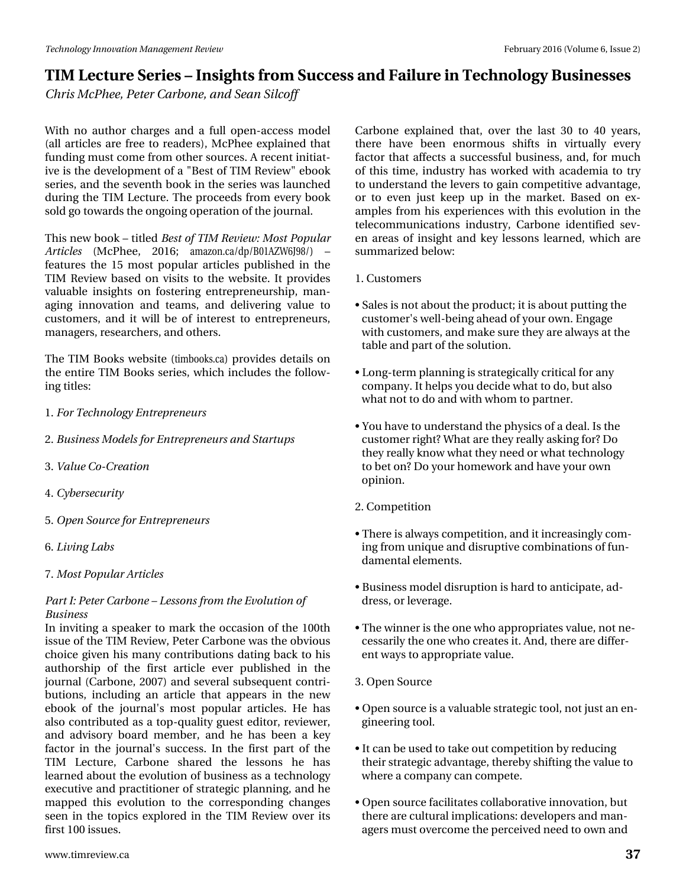# WLP#Onfwxuh#Vhulhv##Lqvljkwv#urp#Vxffhvv#dqq#dloxuh#q#Whfkqrorjl#Exvlghvvhv Fkulv#PfSkhh/#Shvhu#Fduergh/#dgg#Vhdg#Vlofrii

Z lwk# qr#dxwkru#fk dujhv#dqg#d#ixoo#rshq0dffhw#prgho# +dockduwlf drivttduhttiuhhtwrttundghuv,/tPf Skhhtth{sodlghgttwkdwtt ixqglqj#pxw#frph#urp#wkhu#vrxufhv1#D#uhfhqw#qlwldw0 lyh#v#wkh#ghyhorsphqw#i#d#%Ehvw#i#NUP#Uhylhz%#herrn# vhulhv/#dqg#wkh#vhyhqwk#errn#q#wkh#vhulhv#zdv#odxqfkhg# gxulqj#wkh#NLP#Ohfwxuh1#Nkh#surfhhgv#lurp#hyhu|#errn# vrog#r#wrzdugv#wkh#gjrlgj#shudwlrg#i#wkh#nxugdo1

Wilv#qhz#errn##Wwohg#Ehw#ri#NLP#Uhylhz#Prw#Srsxodu# Duwf drw# +P f Sk hh/# 5349:# dp d}r q1f d2gs 2E34D] Z 9M; 2, # ' ihdwxuhv#wkh#48#prw#srsxodu#duwlfohv#sxeolvkhg#lq#wkh# WLP #Uhylhz #edvhg#r q#ylvlw#wr #wkh#z hevlwh1#Lw#sur ylghv# ydoxdedn#lqvljkw#rq#irvvhulqj#hqwuhsuhqhxuvkls/#pdq0 dj lqj #lqqr ydwr q#dqg#whdp v/#dqg#ghdyhulqj #ydoxh#wr # f x www phu/#dqg#w#zloo#eh#ri#qwhuhww#wr#hqwuhsuhqhxuv/# p dqdj huv/#hvhduf khuv/#dqg# vkhuv1

Wkh#NUP #Errnv#z hevlwh#wlperrnvfd,#surylghv#ghwdlov#rq# wkh#hqwluh#NLP#Errnv#vhulhv/#zklfk#qfoxghv#wkh#iroorz0 lgi #wwwhv=

41# ru#Whfkqrorj|#Hqwuhsuhqhxuv

51 Exvight of Production of the whole has untilly a final strategy and strategy strategy strategy strategy str

614Y dox h#Fr0Fundwirq

7年 ehuvhf x u w

81 R s hq # /r x uf h#r u# - lq wuh s uhq hx uv

910ylqj #Odev

: 14P r w#Srsx odu#Duwlf dnv

Sduw# #Shwhu#Fduerqh# #Chwrqv#urp #wkh#Hyroxwlrq#i# Exvighw

Lq#qylwlqj#d#vshdnhu#wr#pdun#wkh#rffdvlrq#ri#wkh#433wk# Ivvxh#i#wkh#NLP #Uhylhz /#Shwhu#Fduer qh#z dv#wkh#eylr xv# fkrlfh#jlyhq#klv#pdq|#frqwulexwlrqv#gdwlqj#edfn#wr#klv# dxwkruvkls#ri#wkh#iluvv#duwlfdn#hyhu#sxedvkhg#lq#wkh# mxuqdd#Fduerqh/#533: ,#dqg#vhyhudd#vxevhtxhqw#rqwul0 exwir qv/#lqfoxglqj#dq#duwlfoh#wkdw#dsshduv#lq#wkh#qhz# herrn#ri#wkh#mxuqdoŠ#prw#srsxodu#duwfohv1#Kh#kdv# dovr#frqwdexwhg#dv#d#wrs0txdolw|#jxhvw#hglwru/#uhylhzhu/# dqg#dgylvr u #er dug#p hp ehu/#dqg#kh#kdv#ehhq#d#nh| # idfwru#lq#wkh#mxuqdoŠr#vxffhvv1#Lq#wkh#iluvw#sduw#ri#wkh# WLP # Onf wx uh/# F duer g h# vk duhg# wk h# dn vvr g v# k h# k d v# dnduqhg#derxw#wkh#hyroxwlrq#ti#exvlqhvv#dv#d#whfkqrorj|# h{hfxwlyh#dqg#sudfwlwrqhu#ri#wudwhjlf#sodqqlqj/#dqg#kh# p dsshg#wklv#hyroxwlrg#wr#wkh#fruuhvsrgglgj#fkdgjhv# vhhq#lq#wkh#wrslfv#h{soruhg#lq#wkh#NLP#Uhylhz#ryhu#lww# iluw#33#wxhv#

Fduer gh#h{sodlghg#wkdw#ryhu#wkh#odvw#63#wr#73#|hduv/# wkhuh#kdyh#ehhq#hqruprxv#vkliw#lq#yluwxdool#hyhul# idf wru#wkdw#diihfw#d#vxffhwixd#exvlqhw/#dqg/#iru#pxfk# ri#wklv#wlph/#lqgxwwd#kdv#zrunhg#zlwk#dfdghpld#wr#wul# w #xqghuwdqg#wkh#bhyhuv#wr#jdlq#frpshwlwyh#dgydqwdjh/# r u#wr#hyhq#mxw#nhhs#xs#lq#wkh#p dunhwl#Edvhg#r q#h{0 dp sohv#iurp#klv#h{shulhqfhv#zlwk#wklv#hyroxwlrq#lq#wkh# which f r p p x qlf dwir qv#lqgxwwd /#Fduer qh#lghqwilhg#vhy0 hq#duhdv#ri#lqvljkw#dqg#nh|#dnvvrqv#dnduqhg/#zklfk#duh#  $vxp p du}$  hg#ehor z #

4 f xw p hw

- —#Vdohv#l∨#qrw#derxw#wk.h#surgxfw#lw#lv#derxw#sxwwl/qj#wk.h# fxwwrphu\$v#zhoo0ehlqj#dkhdg#i#rxu#zq1#Hqjdjh# z lwk#xwwrp huv/#dqg#p dnh#vxuh#wkh| #duh#doz d|v#dw#wkh# wdedn#dqg#sduw#i#wkh#vroxwlrq1#
- —#Orqj0vhup#sodqqlqj#lv#wudvhjlfdooj#lulwfdo#ru#dq|# frp sdq|1#Lw#khosv#|rx#ghflgh#zkdw#wr#gr/#exw#dovr# z k dw#qrw#wr#gr#dqg#z lwk#z krp#wr#sduwqhu1
- # r x # kdyh#wr# qghuwodqg#wk h#sk | vlf v#i#d#ghdo1#Lv#wk h# f x w r p hu#ulj k wBh Z k dw#duh#wk h|#uhdool#dvnlqj#ruBhGr# wkh|#uhdoon|#hqrz#zkdw#wkh|#qhhg# u#zkdw#mhfkqrorj|# wr#ehw#qB#Gr#rxu#krphzrun#dqg#kdyh#rxu#zq# rslqlrq1

51Frp shwwrq

- —#Wkhuh#l∨#dozd|∨#frpshwlwrq/#dqg#lw#qfuhd∨lqjd,#frp0 lqj#urp#xqltxh#dqg#glvuxswlyh#frpelqdwlrqv#ti#xq0 gdp hqwddholp hqw1
- —#Exvlo,h∨v#pro,ho#glvuxswlro,#lv#kduq#wr#dqwlflsdwh/#dg0 guhw/# u#hyhudj h1
- –#Wkh#zlqqhu#l∨#wkh#qh#zkr#dssursuldwhv#ydoxh/#qrw#qh0 fhwdulo|#wkh#qh#zkr#uhdwhv#w4EDqg/#wkhuh#duh#gliihu0 hqwed | v#wr#dssursuldwh#ydoxh1

61#Rshq#√rxufh

- -#Rshq#vrxufh#lv#d#ydoxdeoh#ww.dwhjlf#wrro/#qrw#navw#dq#hq0 jlqhhulqj#wro1#
- —#Lw#dq#eh#xvhg#nw:#ndnh#xw#rpshwlwrq#e|#uhgxflqj# wk hlu#wudwhj If #dgydqwdj h/#wk huhe| #vk liwlqj #wk h#ydox h#wr # zkhuh#d#frpsdq|#dq#frpshwh1
- fRshq#vrxufh#dflolwdwh∨#frooderudwlyh#qqrydwlrq/#exw# wk.huh#duh#xowxudo#psolfdwlrqv=#ghyhorshuv#dqg#pdq0 dj huv#p x w#yhufrp h#wk h#shufhlyhg#qhhg#wr#zq#dqg#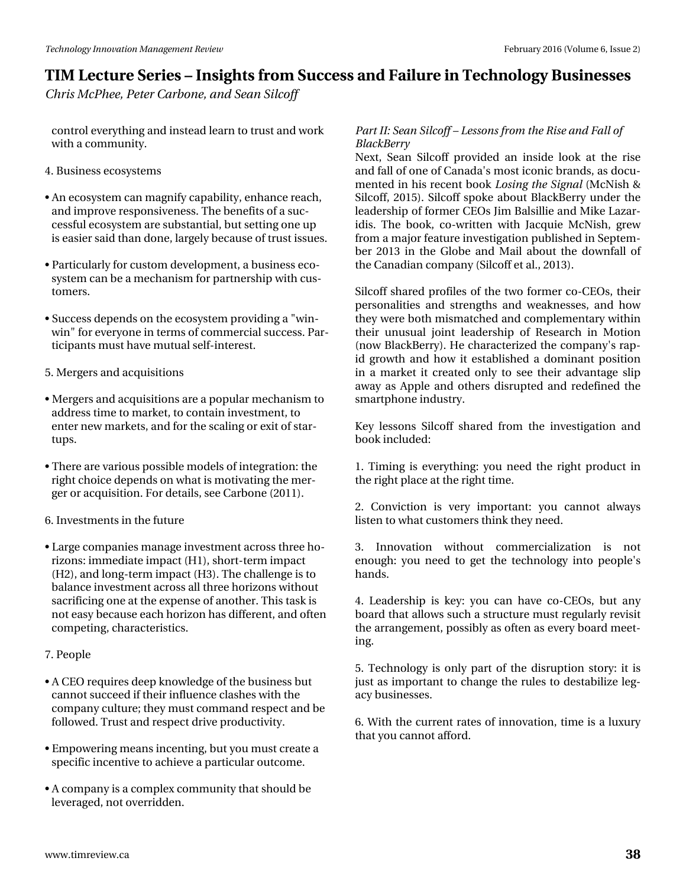## **TIM Lecture Series – Insights from Success and Failure in Technology Businesses**

*Chris McPhee, Peter Carbone, and Sean Silcoff*

control everything and instead learn to trust and work with a community.

4. Business ecosystems

- An ecosystem can magnify capability, enhance reach, and improve responsiveness. The benefits of a successful ecosystem are substantial, but setting one up is easier said than done, largely because of trust issues.
- Particularly for custom development, a business ecosystem can be a mechanism for partnership with customers.
- Success depends on the ecosystem providing a "winwin" for everyone in terms of commercial success. Participants must have mutual self-interest.
- 5. Mergers and acquisitions
- Mergers and acquisitions are a popular mechanism to address time to market, to contain investment, to enter new markets, and for the scaling or exit of startups.
- There are various possible models of integration: the right choice depends on what is motivating the merger or acquisition. For details, see Carbone (2011).

6. Investments in the future

- Large companies manage investment across three horizons: immediate impact (H1), short-term impact (H2), and long-term impact (H3). The challenge is to balance investment across all three horizons without sacrificing one at the expense of another. This task is not easy because each horizon has different, and often competing, characteristics.
- 7. People
- A CEO requires deep knowledge of the business but cannot succeed if their influence clashes with the company culture; they must command respect and be followed. Trust and respect drive productivity.
- Empowering means incenting, but you must create a specific incentive to achieve a particular outcome.
- A company is a complex community that should be leveraged, not overridden.

#### *Part II: Sean Silcoff – Lessons from the Rise and Fall of BlackBerry*

Next, Sean Silcoff provided an inside look at the rise and fall of one of Canada's most iconic brands, as documented in his recent book *Losing the Signal* (McNish & Silcoff, 2015). Silcoff spoke about BlackBerry under the leadership of former CEOs Jim Balsillie and Mike Lazaridis. The book, co-written with Jacquie McNish, grew from a major feature investigation published in September 2013 in the Globe and Mail about the downfall of the Canadian company (Silcoff et al., 2013).

Silcoff shared profiles of the two former co-CEOs, their personalities and strengths and weaknesses, and how they were both mismatched and complementary within their unusual joint leadership of Research in Motion (now BlackBerry). He characterized the company's rapid growth and how it established a dominant position in a market it created only to see their advantage slip away as Apple and others disrupted and redefined the smartphone industry.

Key lessons Silcoff shared from the investigation and book included:

1. Timing is everything: you need the right product in the right place at the right time.

2. Conviction is very important: you cannot always listen to what customers think they need.

3. Innovation without commercialization is not enough: you need to get the technology into people's hands.

4. Leadership is key: you can have co-CEOs, but any board that allows such a structure must regularly revisit the arrangement, possibly as often as every board meeting.

5. Technology is only part of the disruption story: it is just as important to change the rules to destabilize legacy businesses.

6. With the current rates of innovation, time is a luxury that you cannot afford.